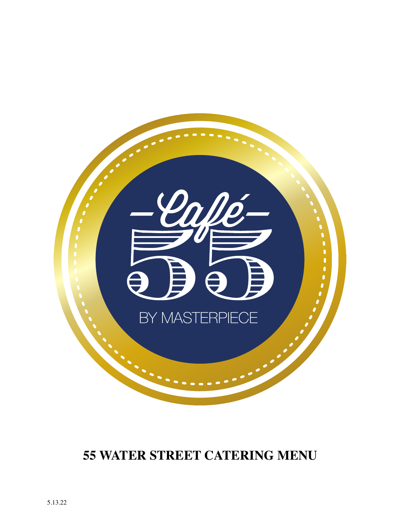

# **55 WATER STREET CATERING MENU**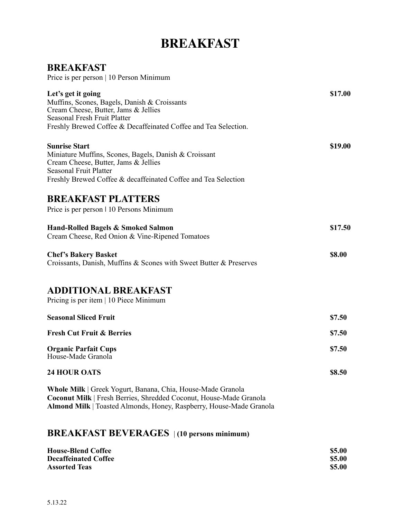# **BREAKFAST**

## **BREAKFAST**

Price is per person | 10 Person Minimum

| Let's get it going<br>Muffins, Scones, Bagels, Danish & Croissants<br>Cream Cheese, Butter, Jams & Jellies<br>Seasonal Fresh Fruit Platter<br>Freshly Brewed Coffee & Decaffeinated Coffee and Tea Selection.            | \$17.00 |
|--------------------------------------------------------------------------------------------------------------------------------------------------------------------------------------------------------------------------|---------|
| <b>Sunrise Start</b><br>Miniature Muffins, Scones, Bagels, Danish & Croissant<br>Cream Cheese, Butter, Jams & Jellies<br><b>Seasonal Fruit Platter</b><br>Freshly Brewed Coffee & decaffeinated Coffee and Tea Selection | \$19.00 |
| <b>BREAKFAST PLATTERS</b><br>Price is per person 1 10 Persons Minimum                                                                                                                                                    |         |
| Hand-Rolled Bagels & Smoked Salmon<br>Cream Cheese, Red Onion & Vine-Ripened Tomatoes                                                                                                                                    | \$17.50 |
| <b>Chef's Bakery Basket</b><br>Croissants, Danish, Muffins & Scones with Sweet Butter & Preserves                                                                                                                        | \$8.00  |
| <b>ADDITIONAL BREAKFAST</b><br>Pricing is per item   10 Piece Minimum                                                                                                                                                    |         |
| <b>Seasonal Sliced Fruit</b>                                                                                                                                                                                             | \$7.50  |
| <b>Fresh Cut Fruit &amp; Berries</b>                                                                                                                                                                                     | \$7.50  |
| <b>Organic Parfait Cups</b><br>House-Made Granola                                                                                                                                                                        | \$7.50  |
| <b>24 HOUR OATS</b>                                                                                                                                                                                                      | \$8.50  |
| Whole Milk   Greek Yogurt, Banana, Chia, House-Made Granola<br>Coconut Milk   Fresh Berries, Shredded Coconut, House-Made Granola<br>Almond Milk   Toasted Almonds, Honey, Raspberry, House-Made Granola                 |         |

## **BREAKFAST BEVERAGES** | **(10 persons minimum)**

| <b>House-Blend Coffee</b>   | \$5.00        |
|-----------------------------|---------------|
| <b>Decaffeinated Coffee</b> | \$5.00        |
| <b>Assorted Teas</b>        | <b>\$5.00</b> |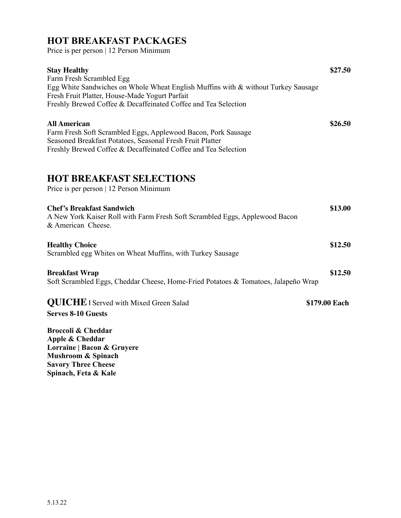## **HOT BREAKFAST PACKAGES**

Price is per person | 12 Person Minimum

| <b>Stay Healthy</b><br>Farm Fresh Scrambled Egg<br>Egg White Sandwiches on Whole Wheat English Muffins with & without Turkey Sausage<br>Fresh Fruit Platter, House-Made Yogurt Parfait<br>Freshly Brewed Coffee & Decaffeinated Coffee and Tea Selection | \$27.50       |
|----------------------------------------------------------------------------------------------------------------------------------------------------------------------------------------------------------------------------------------------------------|---------------|
| <b>All American</b><br>Farm Fresh Soft Scrambled Eggs, Applewood Bacon, Pork Sausage<br>Seasoned Breakfast Potatoes, Seasonal Fresh Fruit Platter<br>Freshly Brewed Coffee & Decaffeinated Coffee and Tea Selection                                      | \$26.50       |
| <b>HOT BREAKFAST SELECTIONS</b><br>Price is per person   12 Person Minimum                                                                                                                                                                               |               |
| <b>Chef's Breakfast Sandwich</b><br>A New York Kaiser Roll with Farm Fresh Soft Scrambled Eggs, Applewood Bacon<br>& American Cheese.                                                                                                                    | \$13.00       |
| <b>Healthy Choice</b><br>Scrambled egg Whites on Wheat Muffins, with Turkey Sausage                                                                                                                                                                      | \$12.50       |
| <b>Breakfast Wrap</b><br>Soft Scrambled Eggs, Cheddar Cheese, Home-Fried Potatoes & Tomatoes, Jalapeño Wrap                                                                                                                                              | \$12.50       |
| <b>QUICHE</b> I Served with Mixed Green Salad<br><b>Serves 8-10 Guests</b>                                                                                                                                                                               | \$179.00 Each |
| <b>Broccoli &amp; Cheddar</b><br>Apple & Cheddar<br>Lorraine   Bacon & Gruyere<br>Mushroom & Spinach<br><b>Savory Three Cheese</b><br>Spinach, Feta & Kale                                                                                               |               |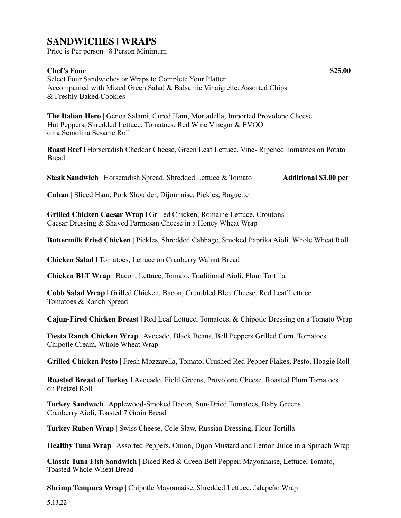## **SANDWICHES | WRAPS**

Price is Per person | 8 Person Minimum

#### **Chef's Four \$25.00**

Select Four Sandwiches or Wraps to Complete Your Platter Accompanied with Mixed Green Salad & Balsamic Vinaigrette, Assorted Chips & Freshly Baked Cookies

**The Italian Hero** | Genoa Salami, Cured Ham, Mortadella, Imported Provolone Cheese Hot Peppers, Shredded Lettuce, Tomatoes, Red Wine Vinegar & EVOO on a Semolina Sesame Roll

**Roast Beef |** Horseradish Cheddar Cheese, Green Leaf Lettuce, Vine- Ripened Tomatoes on Potato Bread

**Steak Sandwich** | Horseradish Spread, Shredded Lettuce & Tomato **Additional \$3.00 per** 

**Cuban** | Sliced Ham, Pork Shoulder, Dijonnaise, Pickles, Baguette

**Grilled Chicken Caesar Wrap |** Grilled Chicken, Romaine Lettuce, Croutons Caesar Dressing & Shaved Parmesan Cheese in a Honey Wheat Wrap

**Buttermilk Fried Chicken** | Pickles, Shredded Cabbage, Smoked Paprika Aioli, Whole Wheat Roll

**Chicken Salad |** Tomatoes, Lettuce on Cranberry Walnut Bread

**Chicken BLT Wrap** | Bacon, Lettuce, Tomato, Traditional Aioli, Flour Tortilla

**Cobb Salad Wrap |** Grilled Chicken, Bacon, Crumbled Bleu Cheese, Red Leaf Lettuce Tomatoes & Ranch Spread

**Cajun-Fired Chicken Breast |** Red Leaf Lettuce, Tomatoes, & Chipotle Dressing on a Tomato Wrap

**Fiesta Ranch Chicken Wrap** | Avocado, Black Beans, Bell Peppers Grilled Corn, Tomatoes Chipotle Cream, Whole Wheat Wrap

**Grilled Chicken Pesto** | Fresh Mozzarella, Tomato, Crushed Red Pepper Flakes, Pesto, Hoagie Roll

**Roasted Breast of Turkey |** Avocado, Field Greens, Provolone Cheese, Roasted Plum Tomatoes on Pretzel Roll

**Turkey Sandwich** | Applewood-Smoked Bacon, Sun-Dried Tomatoes, Baby Greens Cranberry Aioli, Toasted 7 Grain Bread

**Turkey Ruben Wrap** | Swiss Cheese, Cole Slaw, Russian Dressing, Flour Tortilla

**Healthy Tuna Wrap** | Assorted Peppers, Onion, Dijon Mustard and Lemon Juice in a Spinach Wrap

**Classic Tuna Fish Sandwich** | Diced Red & Green Bell Pepper, Mayonnaise, Lettuce, Tomato, Toasted Whole Wheat Bread

**Shrimp Tempura Wrap** | Chipotle Mayonnaise, Shredded Lettuce, Jalapeño Wrap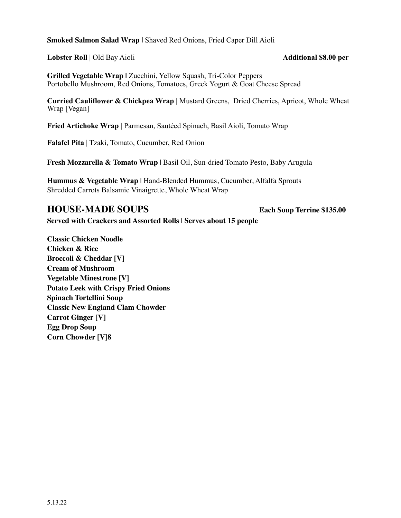**Smoked Salmon Salad Wrap |** Shaved Red Onions, Fried Caper Dill Aioli

**Lobster Roll** | Old Bay Aioli **Additional \$8.00 per** 

**Grilled Vegetable Wrap | Zucchini, Yellow Squash, Tri-Color Peppers** Portobello Mushroom, Red Onions, Tomatoes, Greek Yogurt & Goat Cheese Spread

**Curried Cauliflower & Chickpea Wrap** | Mustard Greens, Dried Cherries, Apricot, Whole Wheat Wrap [Vegan]

**Fried Artichoke Wrap** | Parmesan, Sautéed Spinach, Basil Aioli, Tomato Wrap

**Falafel Pita** | Tzaki, Tomato, Cucumber, Red Onion

**Fresh Mozzarella & Tomato Wrap** | Basil Oil, Sun-dried Tomato Pesto, Baby Arugula

**Hummus & Vegetable Wrap** | Hand-Blended Hummus, Cucumber, Alfalfa Sprouts Shredded Carrots Balsamic Vinaigrette, Whole Wheat Wrap

## **HOUSE-MADE SOUPS Each Soup Terrine \$135.00**

**Served with Crackers and Assorted Rolls | Serves about 15 people**

**Classic Chicken Noodle Chicken & Rice Broccoli & Cheddar [V] Cream of Mushroom Vegetable Minestrone [V] Potato Leek with Crispy Fried Onions Spinach Tortellini Soup Classic New England Clam Chowder Carrot Ginger [V] Egg Drop Soup Corn Chowder [V]8**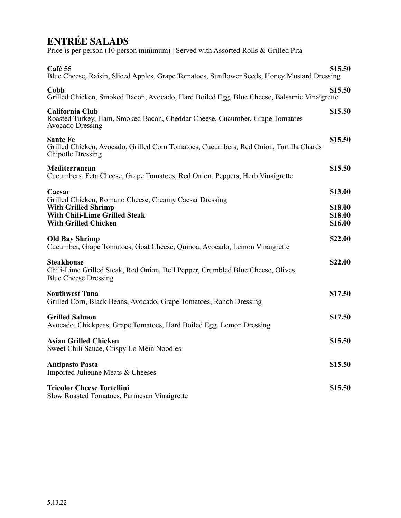# **ENTRÉE SALADS**

Price is per person (10 person minimum) | Served with Assorted Rolls & Grilled Pita

| Café 55<br>Blue Cheese, Raisin, Sliced Apples, Grape Tomatoes, Sunflower Seeds, Honey Mustard Dressing                                                      | \$15.50 |
|-------------------------------------------------------------------------------------------------------------------------------------------------------------|---------|
| Cobb<br>Grilled Chicken, Smoked Bacon, Avocado, Hard Boiled Egg, Blue Cheese, Balsamic Vinaigrette                                                          | \$15.50 |
| California Club<br>Roasted Turkey, Ham, Smoked Bacon, Cheddar Cheese, Cucumber, Grape Tomatoes<br>Avocado Dressing                                          | \$15.50 |
| <b>Sante Fe</b><br>Grilled Chicken, Avocado, Grilled Corn Tomatoes, Cucumbers, Red Onion, Tortilla Chards<br><b>Chipotle Dressing</b>                       | \$15.50 |
| Mediterranean<br>Cucumbers, Feta Cheese, Grape Tomatoes, Red Onion, Peppers, Herb Vinaigrette                                                               | \$15.50 |
| Caesar                                                                                                                                                      | \$13.00 |
| Grilled Chicken, Romano Cheese, Creamy Caesar Dressing<br><b>With Grilled Shrimp</b><br><b>With Chili-Lime Grilled Steak</b><br><b>With Grilled Chicken</b> |         |
| <b>Old Bay Shrimp</b><br>Cucumber, Grape Tomatoes, Goat Cheese, Quinoa, Avocado, Lemon Vinaigrette                                                          | \$22.00 |
| <b>Steakhouse</b><br>Chili-Lime Grilled Steak, Red Onion, Bell Pepper, Crumbled Blue Cheese, Olives<br><b>Blue Cheese Dressing</b>                          | \$22.00 |
| <b>Southwest Tuna</b><br>Grilled Corn, Black Beans, Avocado, Grape Tomatoes, Ranch Dressing                                                                 | \$17.50 |
| <b>Grilled Salmon</b><br>Avocado, Chickpeas, Grape Tomatoes, Hard Boiled Egg, Lemon Dressing                                                                | \$17.50 |
| <b>Asian Grilled Chicken</b><br>Sweet Chili Sauce, Crispy Lo Mein Noodles                                                                                   | \$15.50 |
| <b>Antipasto Pasta</b><br>Imported Julienne Meats & Cheeses                                                                                                 | \$15.50 |
| <b>Tricolor Cheese Tortellini</b><br>Slow Roasted Tomatoes, Parmesan Vinaigrette                                                                            | \$15.50 |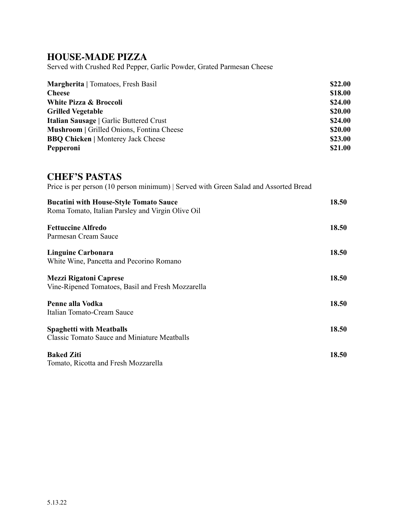## **HOUSE-MADE PIZZA**

Served with Crushed Red Pepper, Garlic Powder, Grated Parmesan Cheese

| <b>Margherita</b>   Tomatoes, Fresh Basil        | \$22.00 |
|--------------------------------------------------|---------|
| <b>Cheese</b>                                    | \$18.00 |
| White Pizza & Broccoli                           | \$24.00 |
| <b>Grilled Vegetable</b>                         | \$20.00 |
| <b>Italian Sausage   Garlic Buttered Crust</b>   | \$24.00 |
| <b>Mushroom</b>   Grilled Onions, Fontina Cheese | \$20.00 |
| <b>BBQ Chicken</b>   Monterey Jack Cheese        | \$23.00 |
| Pepperoni                                        | \$21.00 |

#### **CHEF'S PASTAS**

Price is per person (10 person minimum) | Served with Green Salad and Assorted Bread

| 18.50<br><b>Fettuccine Alfredo</b><br>Parmesan Cream Sauce<br>18.50<br>Linguine Carbonara<br>White Wine, Pancetta and Pecorino Romano |
|---------------------------------------------------------------------------------------------------------------------------------------|
|                                                                                                                                       |
|                                                                                                                                       |
|                                                                                                                                       |
|                                                                                                                                       |
| 18.50<br><b>Mezzi Rigatoni Caprese</b>                                                                                                |
| Vine-Ripened Tomatoes, Basil and Fresh Mozzarella                                                                                     |
| 18.50<br>Penne alla Vodka                                                                                                             |
| Italian Tomato-Cream Sauce                                                                                                            |
| 18.50<br><b>Spaghetti with Meatballs</b>                                                                                              |
| <b>Classic Tomato Sauce and Miniature Meatballs</b>                                                                                   |
| <b>Baked Ziti</b><br>18.50                                                                                                            |
| Tomato, Ricotta and Fresh Mozzarella                                                                                                  |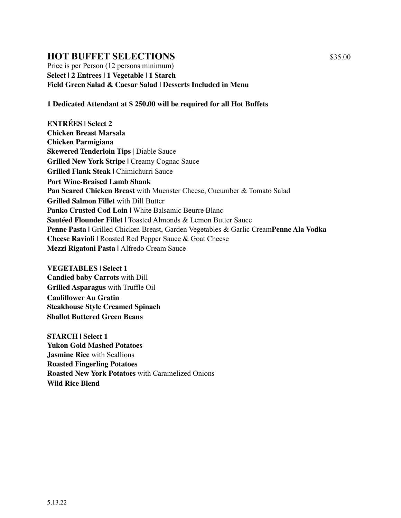## **HOT BUFFET SELECTIONS** \$35.00

Price is per Person (12 persons minimum) **Select | 2 Entrees | 1 Vegetable | 1 Starch Field Green Salad & Caesar Salad | Desserts Included in Menu** 

#### **1 Dedicated Attendant at \$ 250.00 will be required for all Hot Buffets**

**ENTRÉES | Select 2 Chicken Breast Marsala Chicken Parmigiana Skewered Tenderloin Tips** | Diable Sauce **Grilled New York Stripe | Creamy Cognac Sauce Grilled Flank Steak |** Chimichurri Sauce **Port Wine-Braised Lamb Shank Pan Seared Chicken Breast** with Muenster Cheese, Cucumber & Tomato Salad **Grilled Salmon Fillet** with Dill Butter **Panko Crusted Cod Loin | White Balsamic Beurre Blanc Sautéed Flounder Fillet |** Toasted Almonds & Lemon Butter Sauce **Penne Pasta |** Grilled Chicken Breast, Garden Vegetables & Garlic Cream**Penne Ala Vodka Cheese Ravioli |** Roasted Red Pepper Sauce & Goat Cheese **Mezzi Rigatoni Pasta |** Alfredo Cream Sauce

**VEGETABLES | Select 1 Candied baby Carrots** with Dill **Grilled Asparagus** with Truffle Oil **Cauliflower Au Gratin Steakhouse Style Creamed Spinach Shallot Buttered Green Beans** 

**STARCH | Select 1 Yukon Gold Mashed Potatoes Jasmine Rice** with Scallions **Roasted Fingerling Potatoes Roasted New York Potatoes** with Caramelized Onions **Wild Rice Blend**